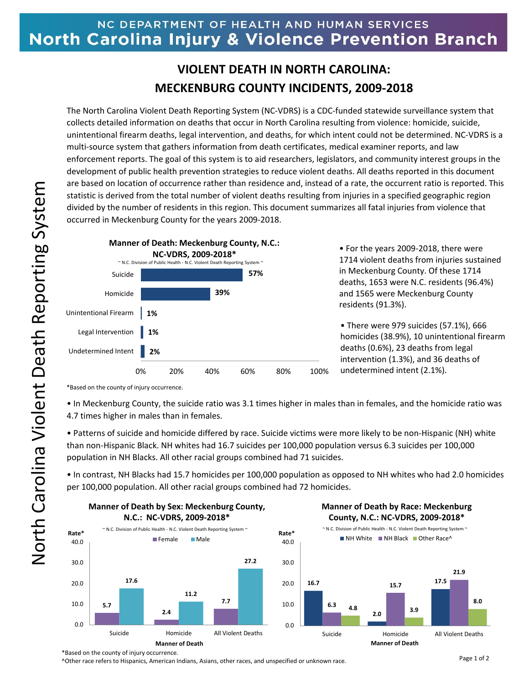## NC DEPARTMENT OF HEALTH AND HUMAN SERVICES North Carolina Injury & Violence Prevention Branch

## **VIOLENT DEATH IN NORTH CAROLINA: MECKENBURG COUNTY INCIDENTS, 2009-2018**

The North Carolina Violent Death Reporting System (NC-VDRS) is a CDC-funded statewide surveillance system that collects detailed information on deaths that occur in North Carolina resulting from violence: homicide, suicide, unintentional firearm deaths, legal intervention, and deaths, for which intent could not be determined. NC-VDRS is a multi-source system that gathers information from death certificates, medical examiner reports, and law enforcement reports. The goal of this system is to aid researchers, legislators, and community interest groups in the development of public health prevention strategies to reduce violent deaths. All deaths reported in this document are based on location of occurrence rather than residence and, instead of a rate, the occurrent ratio is reported. This statistic is derived from the total number of violent deaths resulting from injuries in a specified geographic region divided by the number of residents in this region. This document summarizes all fatal injuries from violence that occurred in Meckenburg County for the years 2009-2018.



• For the years 2009-2018, there were 1714 violent deaths from injuries sustained in Meckenburg County. Of these 1714 deaths, 1653 were N.C. residents (96.4%) and 1565 were Meckenburg County residents (91.3%).

• There were 979 suicides (57.1%), 666 homicides (38.9%), 10 unintentional firearm deaths (0.6%), 23 deaths from legal intervention (1.3%), and 36 deaths of undetermined intent (2.1%).

\*Based on the county of injury occurrence.

• In Meckenburg County, the suicide ratio was 3.1 times higher in males than in females, and the homicide ratio was 4.7 times higher in males than in females.

• Patterns of suicide and homicide differed by race. Suicide victims were more likely to be non-Hispanic (NH) white than non-Hispanic Black. NH whites had 16.7 suicides per 100,000 population versus 6.3 suicides per 100,000 population in NH Blacks. All other racial groups combined had 71 suicides.

• In contrast, NH Blacks had 15.7 homicides per 100,000 population as opposed to NH whites who had 2.0 homicides per 100,000 population. All other racial groups combined had 72 homicides.



## **Manner of Death by Race: Meckenburg County, N.C.: NC-VDRS, 2009-2018\***



^Other race refers to Hispanics, American Indians, Asians, other races, and unspecified or unknown race.

<sup>\*</sup>Based on the county of injury occurrence.